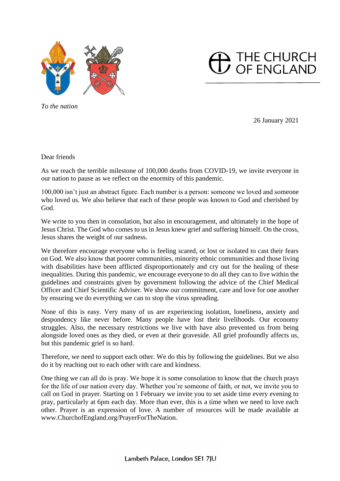



*To the nation*

26 January 2021

Dear friends

As we reach the terrible milestone of 100,000 deaths from COVID-19, we invite everyone in our nation to pause as we reflect on the enormity of this pandemic.

100,000 isn't just an abstract figure. Each number is a person: someone we loved and someone who loved us. We also believe that each of these people was known to God and cherished by God.

We write to you then in consolation, but also in encouragement, and ultimately in the hope of Jesus Christ. The God who comes to us in Jesus knew grief and suffering himself. On the cross, Jesus shares the weight of our sadness.

We therefore encourage everyone who is feeling scared, or lost or isolated to cast their fears on God. We also know that poorer communities, minority ethnic communities and those living with disabilities have been afflicted disproportionately and cry out for the healing of these inequalities. During this pandemic, we encourage everyone to do all they can to live within the guidelines and constraints given by government following the advice of the Chief Medical Officer and Chief Scientific Adviser. We show our commitment, care and love for one another by ensuring we do everything we can to stop the virus spreading.

None of this is easy. Very many of us are experiencing isolation, loneliness, anxiety and despondency like never before. Many people have lost their livelihoods. Our economy struggles. Also, the necessary restrictions we live with have also prevented us from being alongside loved ones as they died, or even at their graveside. All grief profoundly affects us, but this pandemic grief is so hard.

Therefore, we need to support each other. We do this by following the guidelines. But we also do it by reaching out to each other with care and kindness.

One thing we can all do is pray. We hope it is some consolation to know that the church prays for the life of our nation every day. Whether you're someone of faith, or not, we invite you to call on God in prayer. Starting on 1 February we invite you to set aside time every evening to pray, particularly at 6pm each day. More than ever, this is a time when we need to love each other. Prayer is an expression of love. A number of resources will be made available at www.ChurchofEngland.org/PrayerForTheNation.